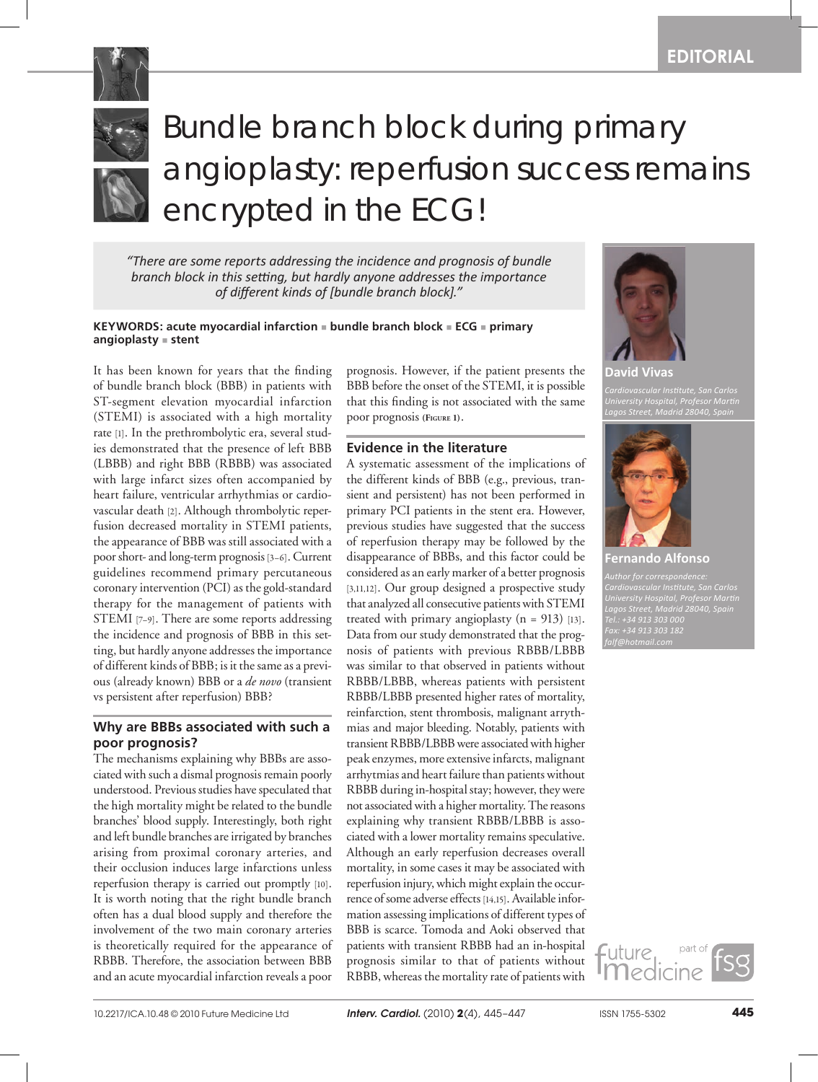



# Bundle branch block during primary angioplasty: reperfusion success remains encrypted in the ECG!

*"There are some reports addressing the incidence and prognosis of bundle branch block in this setting, but hardly anyone addresses the importance of different kinds of [bundle branch block]."*

#### **KEYWORDS: acute myocardial infarction <b>n** bundle branch block **n** ECG **n** primary **angioplasty** n **stent**

It has been known for years that the finding of bundle branch block (BBB) in patients with ST-segment elevation myocardial infarction (STEMI) is associated with a high mortality rate [1]. In the prethrombolytic era, several studies demonstrated that the presence of left BBB (LBBB) and right BBB (RBBB) was associated with large infarct sizes often accompanied by heart failure, ventricular arrhythmias or cardiovascular death [2]. Although thrombolytic reperfusion decreased mortality in STEMI patients, the appearance of BBB was still associated with a poor short- and long-term prognosis [3–6]. Current guidelines recommend primary percutaneous coronary intervention (PCI) as the gold-standard therapy for the management of patients with STEMI [7–9]. There are some reports addressing the incidence and prognosis of BBB in this setting, but hardly anyone addresses the importance of different kinds of BBB; is it the same as a previous (already known) BBB or a *de novo* (transient vs persistent after reperfusion) BBB?

## **Why are BBBs associated with such a poor prognosis?**

The mechanisms explaining why BBBs are associated with such a dismal prognosis remain poorly understood. Previous studies have speculated that the high mortality might be related to the bundle branches' blood supply. Interestingly, both right and left bundle branches are irrigated by branches arising from proximal coronary arteries, and their occlusion induces large infarctions unless reperfusion therapy is carried out promptly [10]. It is worth noting that the right bundle branch often has a dual blood supply and therefore the involvement of the two main coronary arteries is theoretically required for the appearance of RBBB. Therefore, the association between BBB and an acute myocardial infarction reveals a poor

prognosis. However, if the patient presents the BBB before the onset of the STEMI, it is possible that this finding is not associated with the same poor prognosis **(Figure 1)**.

## **Evidence in the literature**

A systematic assessment of the implications of the different kinds of BBB (e.g., previous, transient and persistent) has not been performed in primary PCI patients in the stent era. However, previous studies have suggested that the success of reperfusion therapy may be followed by the disappearance of BBBs, and this factor could be considered as an early marker of a better prognosis [3,11,12]. Our group designed a prospective study that analyzed all consecutive patients with STEMI treated with primary angioplasty  $(n = 913)$  [13]. Data from our study demonstrated that the prognosis of patients with previous RBBB/LBBB was similar to that observed in patients without RBBB/LBBB, whereas patients with persistent RBBB/LBBB presented higher rates of mortality, reinfarction, stent thrombosis, malignant arrythmias and major bleeding. Notably, patients with transient RBBB/LBBB were associated with higher peak enzymes, more extensive infarcts, malignant arrhytmias and heart failure than patients without RBBB during in-hospital stay; however, they were not associated with a higher mortality. The reasons explaining why transient RBBB/LBBB is associated with a lower mortality remains speculative. Although an early reperfusion decreases overall mortality, in some cases it may be associated with reperfusion injury, which might explain the occurrence of some adverse effects [14,15]. Available information assessing implications of different types of BBB is scarce. Tomoda and Aoki observed that patients with transient RBBB had an in-hospital prognosis similar to that of patients without RBBB, whereas the mortality rate of patients with



**David Vivas**  *University Hospital, Profesor Martin* 



**Fernando Alfonso**

*Cardiovascular Institute, San Carlos Tel.: +34 913 303 000 Fax: +34 913 303 182 falf@hotmail.com*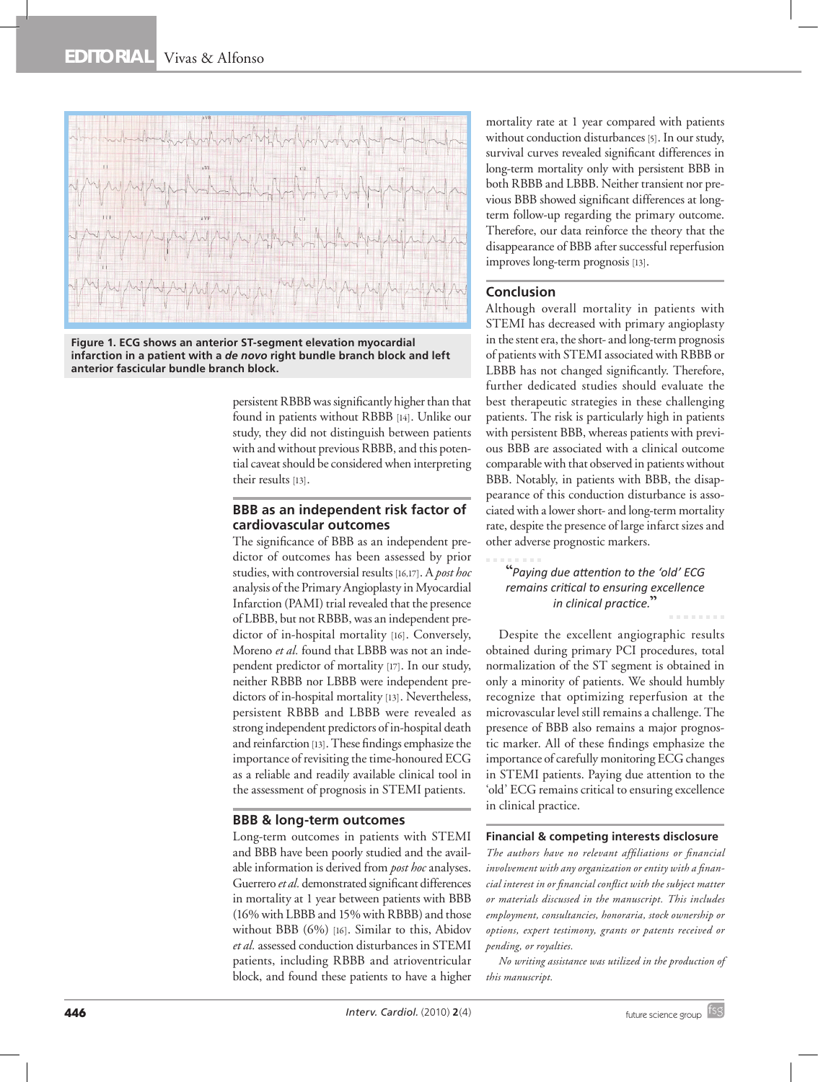

**Figure 1. ECG shows an anterior ST-segment elevation myocardial infarction in a patient with a** *de novo* **right bundle branch block and left anterior fascicular bundle branch block.**

persistent RBBB was significantly higher than that found in patients without RBBB [14]. Unlike our study, they did not distinguish between patients with and without previous RBBB, and this potential caveat should be considered when interpreting their results [13].

## **BBB as an independent risk factor of cardiovascular outcomes**

The significance of BBB as an independent predictor of outcomes has been assessed by prior studies, with controversial results [16,17]. A *post hoc* analysis of the Primary Angioplasty in Myocardial Infarction (PAMI) trial revealed that the presence of LBBB, but not RBBB, was an independent predictor of in-hospital mortality [16]. Conversely, Moreno *et al.* found that LBBB was not an independent predictor of mortality [17]. In our study, neither RBBB nor LBBB were independent predictors of in-hospital mortality [13]. Nevertheless, persistent RBBB and LBBB were revealed as strong independent predictors of in-hospital death and reinfarction [13]. These findings emphasize the importance of revisiting the time-honoured ECG as a reliable and readily available clinical tool in the assessment of prognosis in STEMI patients.

#### **BBB & long-term outcomes**

Long-term outcomes in patients with STEMI and BBB have been poorly studied and the available information is derived from *post hoc* analyses. Guerrero *et al.* demonstrated significant differences in mortality at 1 year between patients with BBB (16% with LBBB and 15% with RBBB) and those without BBB (6%) [16]. Similar to this, Abidov *et al.* assessed conduction disturbances in STEMI patients, including RBBB and atrioventricular block, and found these patients to have a higher

mortality rate at 1 year compared with patients without conduction disturbances [5]. In our study, survival curves revealed significant differences in long-term mortality only with persistent BBB in both RBBB and LBBB. Neither transient nor previous BBB showed significant differences at longterm follow-up regarding the primary outcome. Therefore, our data reinforce the theory that the disappearance of BBB after successful reperfusion improves long-term prognosis [13].

#### **Conclusion**

Although overall mortality in patients with STEMI has decreased with primary angioplasty in the stent era, the short- and long-term prognosis of patients with STEMI associated with RBBB or LBBB has not changed significantly. Therefore, further dedicated studies should evaluate the best therapeutic strategies in these challenging patients. The risk is particularly high in patients with persistent BBB, whereas patients with previous BBB are associated with a clinical outcome comparable with that observed in patients without BBB. Notably, in patients with BBB, the disappearance of this conduction disturbance is associated with a lower short- and long-term mortality rate, despite the presence of large infarct sizes and other adverse prognostic markers.

**"***Paying due attention to the 'old' ECG remains critical to ensuring excellence in clinical practice.***"**

Despite the excellent angiographic results obtained during primary PCI procedures, total normalization of the ST segment is obtained in only a minority of patients. We should humbly recognize that optimizing reperfusion at the microvascular level still remains a challenge. The presence of BBB also remains a major prognostic marker. All of these findings emphasize the importance of carefully monitoring ECG changes in STEMI patients. Paying due attention to the 'old' ECG remains critical to ensuring excellence in clinical practice.

#### **Financial & competing interests disclosure**

*The authors have no relevant affiliations or financial involvement with any organization or entity with a financial interest in or financial conflict with the subject matter or materials discussed in the manuscript. This includes employment, consultancies, honoraria, stock ownership or options, expert testimony, grants or patents received or pending, or royalties.*

*No writing assistance was utilized in the production of this manuscript.*